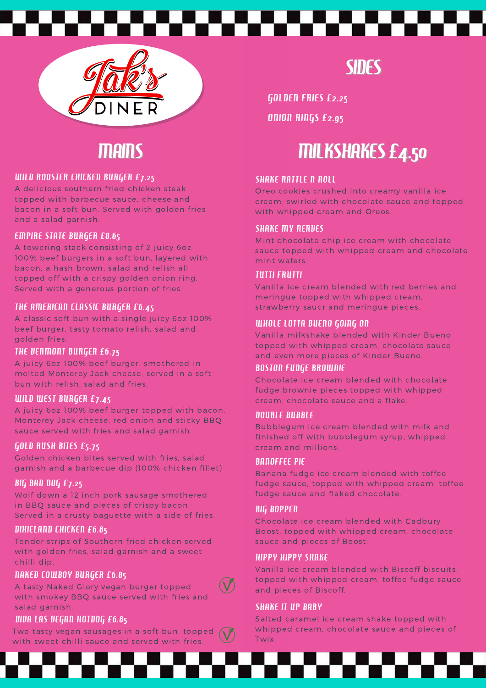



## MAINS

#### WILD ROOSTER CHICKEN BURGER £7.25

A delicious southern fried chicken steak topped with barbecue sauce, cheese and bacon in a soft bun. Served with golden fries and a salad garnish.

#### EMPIRE STATE BURGER £8.65

A towering stack consisting of 2 juicy 6oz 100% beef burgers in a soft bun, layered with bacon, a hash brown, salad and relish all topped off with a crispy golden onion ring. Served with a generous portion of fries.

#### THE AMERICAN CLASSIC BURGER £6.45

A classic soft bun with a single juicy 6oz 100% beef burger, tasty tomato relish, salad and golden fries.

#### THE VERMONT BURGER £6.75

A juicy 6oz 100% beef burger, smothered in melted Monterey Jack cheese, served in a soft bun with relish, salad and fries.

#### WILD WEST BURGER £7.45

A juicy 6oz 100% beef burger topped with bacon, Monterey Jack cheese, red onion and sticky BBQ sauce served with fries and salad garnish.

#### GOLD RUSH BITES £5.75

Golden chicken bites served with fries, salad garnish and a barbecue dip (100% chicken fillet)

#### BIG BAD DOG £7.25

Wolf down a 12 inch pork sausage smothered in BBQ sauce and pieces of crispy bacon. Served in a crusty baguette with a side of fries.

#### DIXIELAND CHICKEN £6.85

Tender strips of Southern fried chicken served with golden fries, salad garnish and a sweet chilli dip.

#### NAKED COWBOY BURGER £6.85

A tasty Naked Glory vegan burger topped with smokey BBQ sauce served with fries and salad garnish.

#### VIVA LAS VEGAN HOTDOG £6.85

Two tasty vegan sausages in a soft bun, topped with sweet chilli sauce and served with fries.

**SIDES** 

GOLDEN FRIES £2.25

ONION RINGS £2.95

# MILKSHAKES £4.50

#### **SHAKE RATTLE N ROLL**

Oreo cookies crushed into creamy vanilla ice cream, swirled with chocolate sauce and topped with whipped cream and Oreos.

#### **SHAKE MY NERVES**

Mint chocolate chip ice cream with chocolate sauce topped with whipped cream and chocolate mint wafers.

#### TUTTI FRUTTI

Vanilla ice cream blended with red berries and meringue topped with whipped cream, strawberry saucr and meringue pieces.

#### WHOLE LOTTA BUENO GOING ON

Vanilla milkshake blended with Kinder Bueno topped with whipped cream, chocolate sauce and even more pieces of Kinder Bueno.

#### BOSTON FUDGE BROWNIE

Chocolate ice cream blended with chocolate fudge brownie pieces topped with whipped cream, chocolate sauce and a flake.

#### DOUBLE BUBBLE

Bubblegum ice cream blended with milk and finished off with bubblegum syrup, whipped cream and millions.

#### BANOFFEE PIE

Banana fudge ice cream blended with toffee fudge sauce, topped with whipped cream, toffee fudge sauce and flaked chocolate.

#### BIG BOPPER

Chocolate ice cream blended with Cadbury Boost, topped with whipped cream, chocolate sauce and pieces of Boost.

#### HIPPY HIPPY SHAKE

Vanilla ice cream blended with Biscoff biscuits, topped with whipped cream, toffee fudge sauce and pieces of Biscoff.

#### **SHAKE IT UP BABY**

Salted caramel ice cream shake topped with whipped cream, chocolate sauce and pieces of Twix